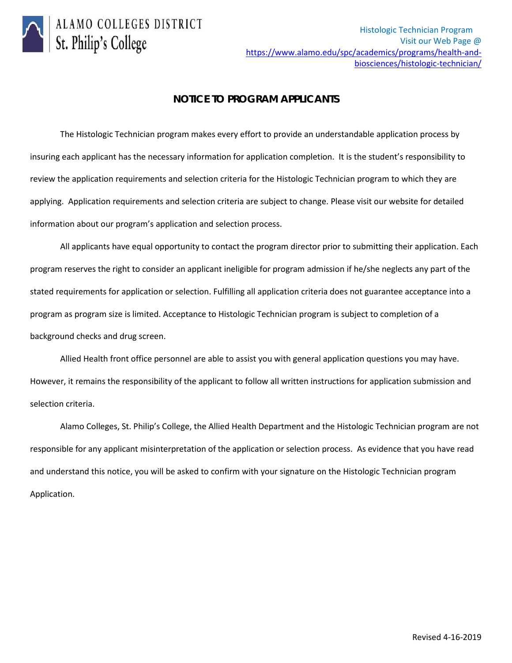

## **NOTICE TO PROGRAM APPLICANTS**

The Histologic Technician program makes every effort to provide an understandable application process by insuring each applicant has the necessary information for application completion. It is the student's responsibility to review the application requirements and selection criteria for the Histologic Technician program to which they are applying. Application requirements and selection criteria are subject to change. Please visit our website for detailed information about our program's application and selection process.

All applicants have equal opportunity to contact the program director prior to submitting their application. Each program reserves the right to consider an applicant ineligible for program admission if he/she neglects any part of the stated requirements for application or selection. Fulfilling all application criteria does not guarantee acceptance into a program as program size is limited. Acceptance to Histologic Technician program is subject to completion of a background checks and drug screen.

Allied Health front office personnel are able to assist you with general application questions you may have. However, it remains the responsibility of the applicant to follow all written instructions for application submission and selection criteria.

Alamo Colleges, St. Philip's College, the Allied Health Department and the Histologic Technician program are not responsible for any applicant misinterpretation of the application or selection process. As evidence that you have read and understand this notice, you will be asked to confirm with your signature on the Histologic Technician program Application.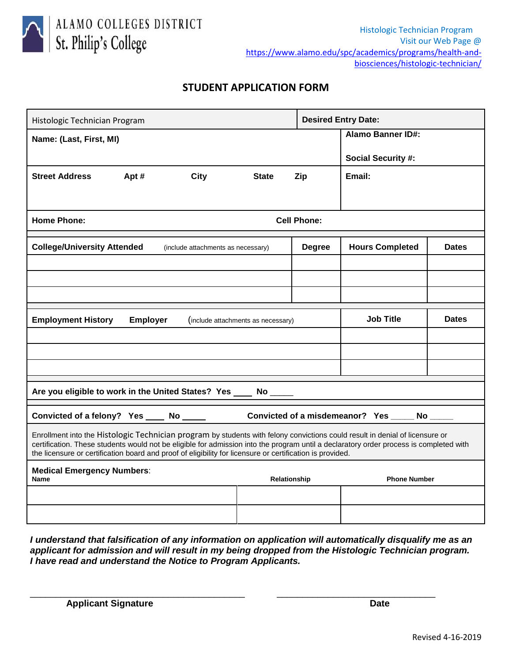

ALAMO COLLEGES DISTRICT St. Philip's College

## **STUDENT APPLICATION FORM**

| Histologic Technician Program                                                                                                                                                                                                                                                                                                                                                       |      |                                    |              |                          | <b>Desired Entry Date:</b> |                     |  |
|-------------------------------------------------------------------------------------------------------------------------------------------------------------------------------------------------------------------------------------------------------------------------------------------------------------------------------------------------------------------------------------|------|------------------------------------|--------------|--------------------------|----------------------------|---------------------|--|
| Name: (Last, First, MI)                                                                                                                                                                                                                                                                                                                                                             |      |                                    |              | <b>Alamo Banner ID#:</b> |                            |                     |  |
|                                                                                                                                                                                                                                                                                                                                                                                     |      |                                    |              |                          | <b>Social Security #:</b>  |                     |  |
| <b>Street Address</b>                                                                                                                                                                                                                                                                                                                                                               | Apt# | City                               | <b>State</b> | Zip                      | Email:                     |                     |  |
|                                                                                                                                                                                                                                                                                                                                                                                     |      |                                    |              |                          |                            |                     |  |
| <b>Home Phone:</b><br><b>Cell Phone:</b>                                                                                                                                                                                                                                                                                                                                            |      |                                    |              |                          |                            |                     |  |
| <b>College/University Attended</b>                                                                                                                                                                                                                                                                                                                                                  |      | (include attachments as necessary) |              | <b>Degree</b>            | <b>Hours Completed</b>     | <b>Dates</b>        |  |
|                                                                                                                                                                                                                                                                                                                                                                                     |      |                                    |              |                          |                            |                     |  |
|                                                                                                                                                                                                                                                                                                                                                                                     |      |                                    |              |                          |                            |                     |  |
|                                                                                                                                                                                                                                                                                                                                                                                     |      |                                    |              |                          |                            |                     |  |
| <b>Employment History</b><br><b>Employer</b><br>(include attachments as necessary)                                                                                                                                                                                                                                                                                                  |      |                                    |              |                          | <b>Job Title</b>           | <b>Dates</b>        |  |
|                                                                                                                                                                                                                                                                                                                                                                                     |      |                                    |              |                          |                            |                     |  |
|                                                                                                                                                                                                                                                                                                                                                                                     |      |                                    |              |                          |                            |                     |  |
|                                                                                                                                                                                                                                                                                                                                                                                     |      |                                    |              |                          |                            |                     |  |
| Are you eligible to work in the United States? Yes ____ No _____                                                                                                                                                                                                                                                                                                                    |      |                                    |              |                          |                            |                     |  |
| Convicted of a felony? Yes ____ No _____ Convicted of a misdemeanor? Yes ____ No ____                                                                                                                                                                                                                                                                                               |      |                                    |              |                          |                            |                     |  |
| Enrollment into the Histologic Technician program by students with felony convictions could result in denial of licensure or<br>certification. These students would not be eligible for admission into the program until a declaratory order process is completed with<br>the licensure or certification board and proof of eligibility for licensure or certification is provided. |      |                                    |              |                          |                            |                     |  |
| <b>Medical Emergency Numbers:</b><br><b>Name</b>                                                                                                                                                                                                                                                                                                                                    |      |                                    |              | Relationship             |                            | <b>Phone Number</b> |  |
|                                                                                                                                                                                                                                                                                                                                                                                     |      |                                    |              |                          |                            |                     |  |
|                                                                                                                                                                                                                                                                                                                                                                                     |      |                                    |              |                          |                            |                     |  |

*I understand that falsification of any information on application will automatically disqualify me as an applicant for admission and will result in my being dropped from the Histologic Technician program. I have read and understand the Notice to Program Applicants.*